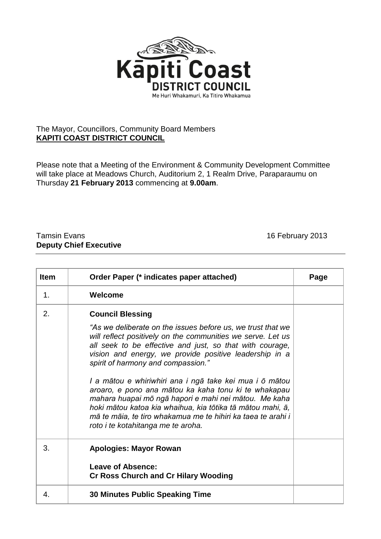

## The Mayor, Councillors, Community Board Members **KAPITI COAST DISTRICT COUNCIL**

Please note that a Meeting of the Environment & Community Development Committee will take place at Meadows Church, Auditorium 2, 1 Realm Drive, Paraparaumu on Thursday **21 February 2013** commencing at **9.00am**.

## Tamsin Evans 16 February 2013 **Deputy Chief Executive**

| <b>Item</b> | Order Paper (* indicates paper attached)                                                                                                                                                                                                                                                                                                                                                                                                                                                                                                                                                                                    | Page |
|-------------|-----------------------------------------------------------------------------------------------------------------------------------------------------------------------------------------------------------------------------------------------------------------------------------------------------------------------------------------------------------------------------------------------------------------------------------------------------------------------------------------------------------------------------------------------------------------------------------------------------------------------------|------|
| 1.          | Welcome                                                                                                                                                                                                                                                                                                                                                                                                                                                                                                                                                                                                                     |      |
| 2.          | <b>Council Blessing</b><br>"As we deliberate on the issues before us, we trust that we<br>will reflect positively on the communities we serve. Let us<br>all seek to be effective and just, so that with courage,<br>vision and energy, we provide positive leadership in a<br>spirit of harmony and compassion."<br>I a mātou e whiriwhiri ana i ngā take kei mua i ō mātou<br>aroaro, e pono ana mātou ka kaha tonu ki te whakapau<br>mahara huapai mō ngā hapori e mahi nei mātou. Me kaha<br>hoki mātou katoa kia whaihua, kia tōtika tā mātou mahi, ā,<br>mā te māia, te tiro whakamua me te hihiri ka taea te arahi i |      |
|             | roto i te kotahitanga me te aroha.                                                                                                                                                                                                                                                                                                                                                                                                                                                                                                                                                                                          |      |
| 3.          | <b>Apologies: Mayor Rowan</b><br>Leave of Absence:<br><b>Cr Ross Church and Cr Hilary Wooding</b>                                                                                                                                                                                                                                                                                                                                                                                                                                                                                                                           |      |
| 4.          | <b>30 Minutes Public Speaking Time</b>                                                                                                                                                                                                                                                                                                                                                                                                                                                                                                                                                                                      |      |